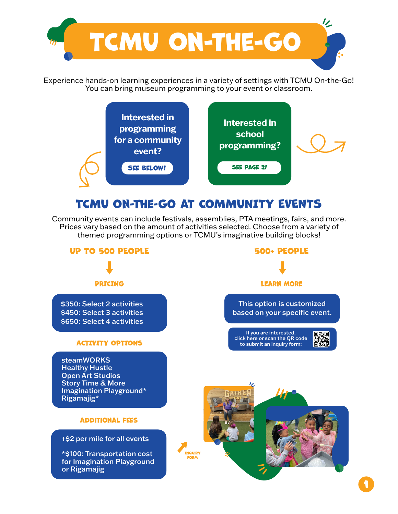

Experience hands-on learning experiences in a variety of settings with TCMU On-the-Go! You can bring museum programming to your event or classroom.



## TCMU On-the-Go aT COMMUNITY EVENTS

Community events can include festivals, assemblies, PTA meetings, fairs, and more. Prices vary based on the amount of activities selected. Choose from a variety of themed programming options or TCMU's imaginative building blocks!